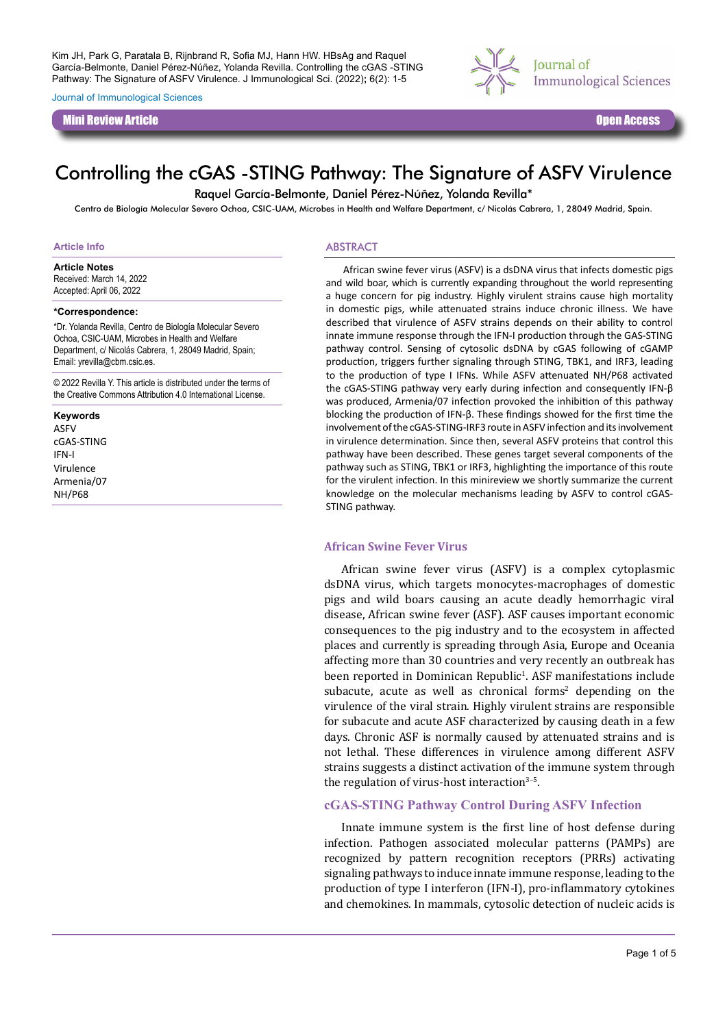Journal of Immunological Sciences

Mini Review Article Open Access



# Controlling the cGAS -STING Pathway: The Signature of ASFV Virulence

Raquel García-Belmonte, Daniel Pérez-Núñez, Yolanda Revilla\*

Centro de Biología Molecular Severo Ochoa, CSIC-UAM, Microbes in Health and Welfare Department, c/ Nicolás Cabrera, 1, 28049 Madrid, Spain.

#### **Article Info**

**Article Notes**

Received: March 14, 2022 Accepted: April 06, 2022

#### **\*Correspondence:**

\*Dr. Yolanda Revilla, Centro de Biología Molecular Severo Ochoa, CSIC-UAM, Microbes in Health and Welfare Department, c/ Nicolás Cabrera, 1, 28049 Madrid, Spain; Email: yrevilla@cbm.csic.es.

© 2022 Revilla Y. This article is distributed under the terms of the Creative Commons Attribution 4.0 International License.

#### **Keywords**

ASFV cGAS-STING IFN-I Virulence Armenia/07 NH/P68

#### ABSTRACT

African swine fever virus (ASFV) is a dsDNA virus that infects domestic pigs and wild boar, which is currently expanding throughout the world representing a huge concern for pig industry. Highly virulent strains cause high mortality in domestic pigs, while attenuated strains induce chronic illness. We have described that virulence of ASFV strains depends on their ability to control innate immune response through the IFN-I production through the GAS-STING pathway control. Sensing of cytosolic dsDNA by cGAS following of cGAMP production, triggers further signaling through STING, TBK1, and IRF3, leading to the production of type I IFNs. While ASFV attenuated NH/P68 activated the cGAS-STING pathway very early during infection and consequently IFN-β was produced, Armenia/07 infection provoked the inhibition of this pathway blocking the production of IFN-β. These findings showed for the first time the involvement of the cGAS-STING-IRF3 route in ASFV infection and its involvement in virulence determination. Since then, several ASFV proteins that control this pathway have been described. These genes target several components of the pathway such as STING, TBK1 or IRF3, highlighting the importance of this route for the virulent infection. In this minireview we shortly summarize the current knowledge on the molecular mechanisms leading by ASFV to control cGAS-STING pathway.

#### **African Swine Fever Virus**

African swine fever virus (ASFV) is a complex cytoplasmic dsDNA virus, which targets monocytes-macrophages of domestic pigs and wild boars causing an acute deadly hemorrhagic viral disease, African swine fever (ASF). ASF causes important economic consequences to the pig industry and to the ecosystem in affected places and currently is spreading through Asia, Europe and Oceania affecting more than 30 countries and very recently an outbreak has been reported in Dominican Republic<sup>1</sup>. ASF manifestations include subacute, acute as well as chronical forms<sup>2</sup> depending on the virulence of the viral strain. Highly virulent strains are responsible for subacute and acute ASF characterized by causing death in a few days. Chronic ASF is normally caused by attenuated strains and is not lethal. These differences in virulence among different ASFV strains suggests a distinct activation of the immune system through the regulation of virus-host interaction $3-5$ .

### **cGAS-STING Pathway Control During ASFV Infection**

Innate immune system is the first line of host defense during infection. Pathogen associated molecular patterns (PAMPs) are recognized by pattern recognition receptors (PRRs) activating signaling pathways to induce innate immune response, leading to the production of type I interferon (IFN-I), pro-inflammatory cytokines and chemokines. In mammals, cytosolic detection of nucleic acids is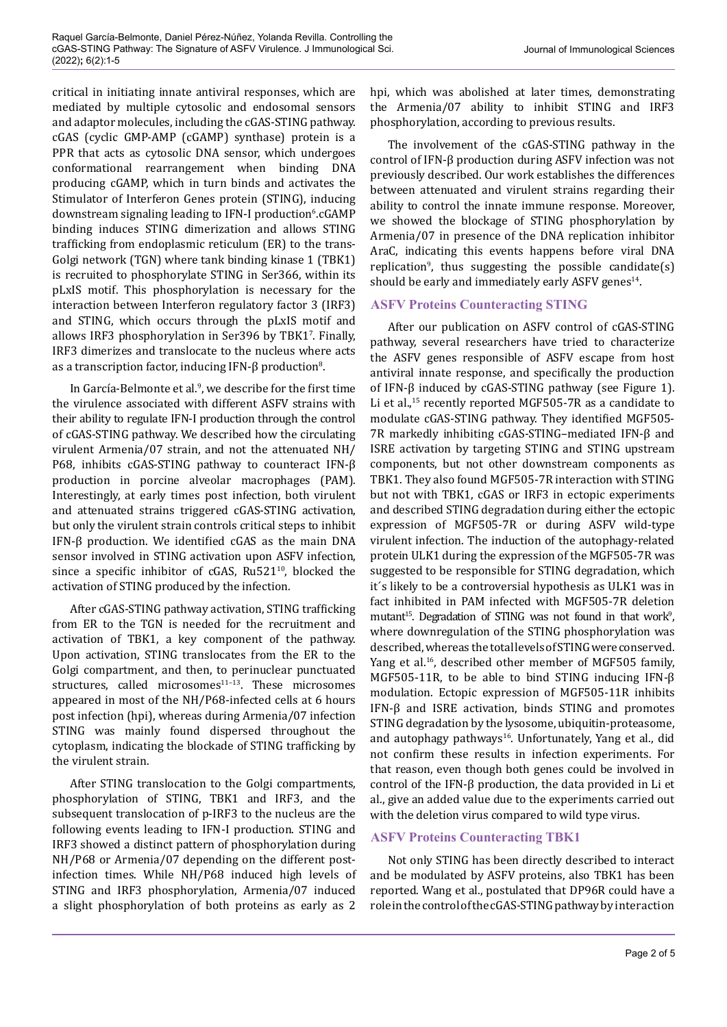critical in initiating innate antiviral responses, which are mediated by multiple cytosolic and endosomal sensors and adaptor molecules, including the cGAS-STING pathway. cGAS (cyclic GMP-AMP (cGAMP) synthase) protein is a PPR that acts as cytosolic DNA sensor, which undergoes conformational rearrangement when binding DNA producing cGAMP, which in turn binds and activates the Stimulator of Interferon Genes protein (STING), inducing downstream signaling leading to IFN-I production<sup>6</sup>.cGAMP binding induces STING dimerization and allows STING trafficking from endoplasmic reticulum (ER) to the trans-Golgi network (TGN) where tank binding kinase 1 (TBK1) is recruited to phosphorylate STING in Ser366, within its pLxIS motif. This phosphorylation is necessary for the interaction between Interferon regulatory factor 3 (IRF3) and STING, which occurs through the pLxIS motif and allows IRF3 phosphorylation in Ser396 by TBK1<sup>7</sup>. Finally, IRF3 dimerizes and translocate to the nucleus where acts as a transcription factor, inducing IFN-β production $^8$ .

In García-Belmonte et al.<sup>9</sup> , we describe for the first time the virulence associated with different ASFV strains with their ability to regulate IFN-I production through the control of cGAS-STING pathway. We described how the circulating virulent Armenia/07 strain, and not the attenuated NH/ P68, inhibits cGAS-STING pathway to counteract IFN-β production in porcine alveolar macrophages (PAM). Interestingly, at early times post infection, both virulent and attenuated strains triggered cGAS-STING activation, but only the virulent strain controls critical steps to inhibit IFN-β production. We identified cGAS as the main DNA sensor involved in STING activation upon ASFV infection, since a specific inhibitor of  $cGAS$ , Ru521 $^{10}$ , blocked the activation of STING produced by the infection.

After cGAS-STING pathway activation, STING trafficking from ER to the TGN is needed for the recruitment and activation of TBK1, a key component of the pathway. Upon activation, STING translocates from the ER to the Golgi compartment, and then, to perinuclear punctuated structures, called microsomes $11-13$ . These microsomes appeared in most of the NH/P68-infected cells at 6 hours post infection (hpi), whereas during Armenia/07 infection STING was mainly found dispersed throughout the cytoplasm, indicating the blockade of STING trafficking by the virulent strain.

After STING translocation to the Golgi compartments, phosphorylation of STING, TBK1 and IRF3, and the subsequent translocation of p-IRF3 to the nucleus are the following events leading to IFN-I production. STING and IRF3 showed a distinct pattern of phosphorylation during NH/P68 or Armenia/07 depending on the different postinfection times. While NH/P68 induced high levels of STING and IRF3 phosphorylation, Armenia/07 induced a slight phosphorylation of both proteins as early as 2

hpi, which was abolished at later times, demonstrating the Armenia/07 ability to inhibit STING and IRF3 phosphorylation, according to previous results.

The involvement of the cGAS-STING pathway in the control of IFN-β production during ASFV infection was not previously described. Our work establishes the differences between attenuated and virulent strains regarding their ability to control the innate immune response. Moreover, we showed the blockage of STING phosphorylation by Armenia/07 in presence of the DNA replication inhibitor AraC, indicating this events happens before viral DNA replication<sup>9</sup>, thus suggesting the possible candidate(s) should be early and immediately early ASFV genes<sup>14</sup>.

## **ASFV Proteins Counteracting STING**

After our publication on ASFV control of cGAS-STING pathway, several researchers have tried to characterize the ASFV genes responsible of ASFV escape from host antiviral innate response, and specifically the production of IFN-β induced by cGAS-STING pathway (see Figure 1). Li et al.,<sup>15</sup> recently reported MGF505-7R as a candidate to modulate cGAS-STING pathway. They identified MGF505- 7R markedly inhibiting cGAS-STING–mediated IFN-β and ISRE activation by targeting STING and STING upstream components, but not other downstream components as TBK1. They also found MGF505-7R interaction with STING but not with TBK1, cGAS or IRF3 in ectopic experiments and described STING degradation during either the ectopic expression of MGF505-7R or during ASFV wild-type virulent infection. The induction of the autophagy-related protein ULK1 during the expression of the MGF505-7R was suggested to be responsible for STING degradation, which it´s likely to be a controversial hypothesis as ULK1 was in fact inhibited in PAM infected with MGF505-7R deletion mutant<sup>15</sup>. Degradation of STING was not found in that work<sup>9</sup>, where downregulation of the STING phosphorylation was described, whereas the total levels of STING were conserved. Yang et al.<sup>16</sup>, described other member of MGF505 family, MGF505-11R, to be able to bind STING inducing IFN-β modulation. Ectopic expression of MGF505-11R inhibits IFN-β and ISRE activation, binds STING and promotes STING degradation by the lysosome, ubiquitin-proteasome, and autophagy pathways<sup>16</sup>. Unfortunately, Yang et al., did not confirm these results in infection experiments. For that reason, even though both genes could be involved in control of the IFN-β production, the data provided in Li et al., give an added value due to the experiments carried out with the deletion virus compared to wild type virus.

# **ASFV Proteins Counteracting TBK1**

Not only STING has been directly described to interact and be modulated by ASFV proteins, also TBK1 has been reported. Wang et al., postulated that DP96R could have a role in the control of the cGAS-STING pathway by interaction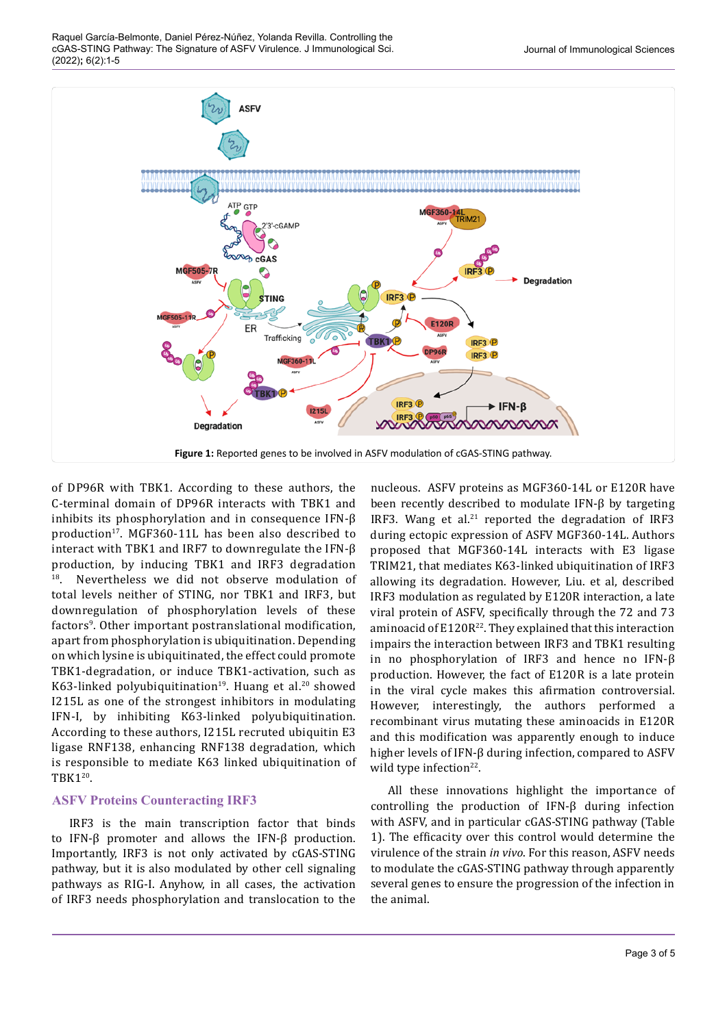

of DP96R with TBK1. According to these authors, the C-terminal domain of DP96R interacts with TBK1 and inhibits its phosphorylation and in consequence IFN-β production<sup>17</sup>. MGF360-11L has been also described to interact with TBK1 and IRF7 to downregulate the IFN-β production, by inducing TBK1 and IRF3 degradation<br><sup>18</sup>. Nevertheless we did not observe modulation of Nevertheless we did not observe modulation of total levels neither of STING, nor TBK1 and IRF3, but downregulation of phosphorylation levels of these factors<sup>9</sup>. Other important postranslational modification, apart from phosphorylation is ubiquitination. Depending on which lysine is ubiquitinated, the effect could promote TBK1-degradation, or induce TBK1-activation, such as K63-linked polyubiquitination<sup>19</sup>. Huang et al.<sup>20</sup> showed I215L as one of the strongest inhibitors in modulating IFN-I, by inhibiting K63-linked polyubiquitination. According to these authors, I215L recruted ubiquitin E3 ligase RNF138, enhancing RNF138 degradation, which is responsible to mediate K63 linked ubiquitination of TBK120.

## **ASFV Proteins Counteracting IRF3**

IRF3 is the main transcription factor that binds to IFN-β promoter and allows the IFN-β production. Importantly, IRF3 is not only activated by cGAS-STING pathway, but it is also modulated by other cell signaling pathways as RIG-I. Anyhow, in all cases, the activation of IRF3 needs phosphorylation and translocation to the

nucleous. ASFV proteins as MGF360-14L or E120R have been recently described to modulate IFN-β by targeting IRF3. Wang et al. $21$  reported the degradation of IRF3 during ectopic expression of ASFV MGF360-14L. Authors proposed that MGF360-14L interacts with E3 ligase TRIM21, that mediates K63-linked ubiquitination of IRF3 allowing its degradation. However, Liu. et al, described IRF3 modulation as regulated by E120R interaction, a late viral protein of ASFV, specifically through the 72 and 73 aminoacid of  $E120R^{22}$ . They explained that this interaction impairs the interaction between IRF3 and TBK1 resulting in no phosphorylation of IRF3 and hence no IFN-β production. However, the fact of E120R is a late protein in the viral cycle makes this afirmation controversial. However, interestingly, the authors performed a recombinant virus mutating these aminoacids in E120R and this modification was apparently enough to induce higher levels of IFN-β during infection, compared to ASFV wild type infection<sup>22</sup>.

All these innovations highlight the importance of controlling the production of IFN-β during infection with ASFV, and in particular cGAS-STING pathway (Table 1). The efficacity over this control would determine the virulence of the strain *in vivo*. For this reason, ASFV needs to modulate the cGAS-STING pathway through apparently several genes to ensure the progression of the infection in the animal.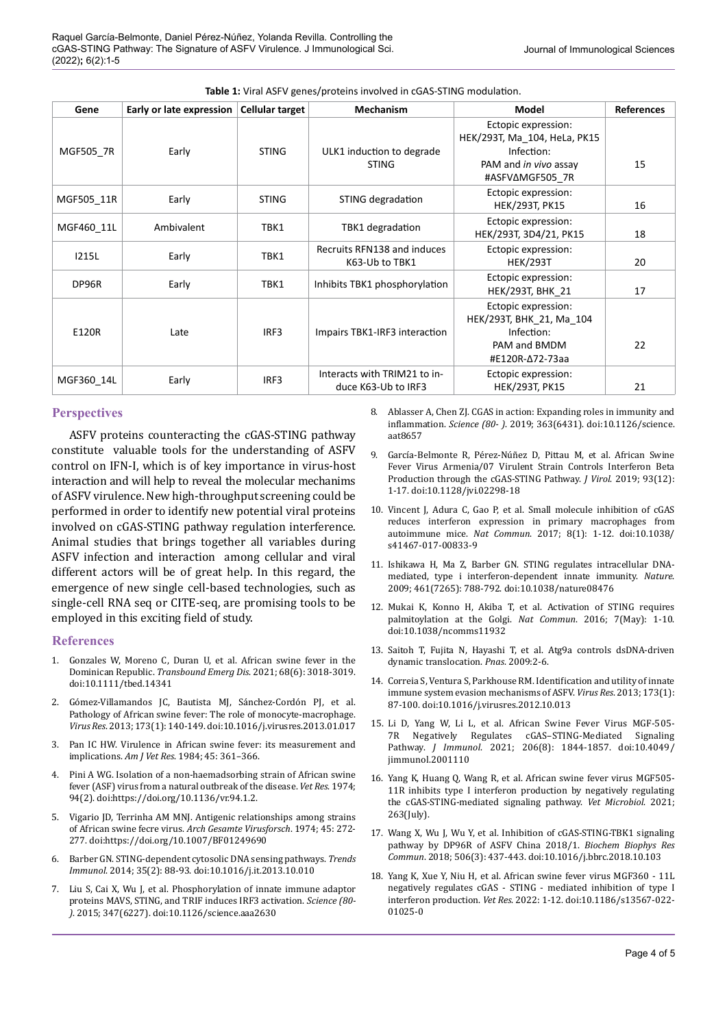| Gene         | Early or late expression | <b>Cellular target</b> | <b>Mechanism</b>                                    | Model                                                                                                         | <b>References</b> |
|--------------|--------------------------|------------------------|-----------------------------------------------------|---------------------------------------------------------------------------------------------------------------|-------------------|
| MGF505_7R    | Early                    | <b>STING</b>           | ULK1 induction to degrade<br><b>STING</b>           | Ectopic expression:<br>HEK/293T, Ma 104, HeLa, PK15<br>Infection:<br>PAM and in vivo assay<br>#ASFVAMGF505 7R | 15                |
| MGF505 11R   | Early                    | <b>STING</b>           | STING degradation                                   | Ectopic expression:<br><b>HEK/293T, PK15</b>                                                                  | 16                |
| MGF460 11L   | Ambivalent               | TBK1                   | TBK1 degradation                                    | Ectopic expression:<br>HEK/293T, 3D4/21, PK15                                                                 | 18                |
| <b>I215L</b> | Early                    | TBK1                   | Recruits RFN138 and induces<br>K63-Ub to TBK1       | Ectopic expression:<br><b>HEK/293T</b>                                                                        | 20                |
| DP96R        | Early                    | TBK1                   | Inhibits TBK1 phosphorylation                       | Ectopic expression:<br><b>HEK/293T, BHK 21</b>                                                                | 17                |
| E120R        | Late                     | IRF3                   | Impairs TBK1-IRF3 interaction                       | Ectopic expression:<br>HEK/293T, BHK_21, Ma_104<br>Infection:<br>PAM and BMDM<br>#E120R-∆72-73aa              | 22                |
| MGF360 14L   | Early                    | IRF3                   | Interacts with TRIM21 to in-<br>duce K63-Ub to IRF3 | Ectopic expression:<br><b>HEK/293T, PK15</b>                                                                  | 21                |

### **Perspectives**

ASFV proteins counteracting the cGAS-STING pathway constitute valuable tools for the understanding of ASFV control on IFN-I, which is of key importance in virus-host interaction and will help to reveal the molecular mechanims of ASFV virulence. New high-throughput screening could be performed in order to identify new potential viral proteins involved on cGAS-STING pathway regulation interference. Animal studies that brings together all variables during ASFV infection and interaction among cellular and viral different actors will be of great help. In this regard, the emergence of new single cell-based technologies, such as single-cell RNA seq or CITE-seq, are promising tools to be employed in this exciting field of study.

#### **References**

- 1. Gonzales W, Moreno C, Duran U, et al. African swine fever in the Dominican Republic. *Transbound Emerg Dis*. 2021; 68(6): 3018-3019. doi:10.1111/tbed.14341
- 2. Gómez-Villamandos JC, Bautista MJ, Sánchez-Cordón PJ, et al. Pathology of African swine fever: The role of monocyte-macrophage. *Virus Res*. 2013; 173(1): 140-149. doi:10.1016/j.virusres.2013.01.017
- 3. Pan IC HW. Virulence in African swine fever: its measurement and implications. *Am J Vet Res*. 1984; 45: 361–366.
- 4. Pini A WG. Isolation of a non-haemadsorbing strain of African swine fever (ASF) virus from a natural outbreak of the disease. *Vet Res*. 1974; 94(2). doi:https://doi.org/10.1136/vr.94.1.2.
- 5. Vigario JD, Terrinha AM MNJ. Antigenic relationships among strains of African swine fecre virus. *Arch Gesamte Virusforsch*. 1974; 45: 272- 277. doi:https://doi.org/10.1007/BF01249690
- 6. Barber GN. STING-dependent cytosolic DNA sensing pathways. *Trends Immunol*. 2014; 35(2): 88-93. doi:10.1016/j.it.2013.10.010
- 7. Liu S, Cai X, Wu J, et al. Phosphorylation of innate immune adaptor proteins MAVS, STING, and TRIF induces IRF3 activation. *Science (80- )*. 2015; 347(6227). doi:10.1126/science.aaa2630

8. Ablasser A, Chen ZJ. CGAS in action: Expanding roles in immunity and inflammation. *Science (80- )*. 2019; 363(6431). doi:10.1126/science. aat8657

- 9. García-Belmonte R, Pérez-Núñez D, Pittau M, et al. African Swine Fever Virus Armenia/07 Virulent Strain Controls Interferon Beta Production through the cGAS-STING Pathway. *J Virol*. 2019; 93(12): 1-17. doi:10.1128/jvi.02298-18
- 10. Vincent J, Adura C, Gao P, et al. Small molecule inhibition of cGAS reduces interferon expression in primary macrophages from autoimmune mice. *Nat Commun*. 2017; 8(1): 1-12. doi:10.1038/ s41467-017-00833-9
- 11. Ishikawa H, Ma Z, Barber GN. STING regulates intracellular DNAmediated, type i interferon-dependent innate immunity. *Nature*. 2009; 461(7265): 788-792. doi:10.1038/nature08476
- 12. Mukai K, Konno H, Akiba T, et al. Activation of STING requires palmitoylation at the Golgi. *Nat Commun*. 2016; 7(May): 1-10. doi:10.1038/ncomms11932
- 13. Saitoh T, Fujita N, Hayashi T, et al. Atg9a controls dsDNA-driven dynamic translocation. *Pnas*. 2009:2-6.
- 14. Correia S, Ventura S, Parkhouse RM. Identification and utility of innate immune system evasion mechanisms of ASFV. *Virus Res*. 2013; 173(1): 87-100. doi:10.1016/j.virusres.2012.10.013
- 15. Li D, Yang W, Li L, et al. African Swine Fever Virus MGF-505- 7R Negatively Regulates cGAS–STING-Mediated Signaling Pathway. *J Immunol*. 2021; 206(8): 1844-1857. doi:10.4049/ jimmunol.2001110
- 16. Yang K, Huang Q, Wang R, et al. African swine fever virus MGF505- 11R inhibits type I interferon production by negatively regulating the cGAS-STING-mediated signaling pathway. *Vet Microbiol*. 2021; 263(July).
- 17. Wang X, Wu J, Wu Y, et al. Inhibition of cGAS-STING-TBK1 signaling pathway by DP96R of ASFV China 2018/1. *Biochem Biophys Res Commun*. 2018; 506(3): 437-443. doi:10.1016/j.bbrc.2018.10.103
- 18. Yang K, Xue Y, Niu H, et al. African swine fever virus MGF360 11L negatively regulates cGAS - STING - mediated inhibition of type I interferon production. *Vet Res*. 2022: 1-12. doi:10.1186/s13567-022- 01025-0